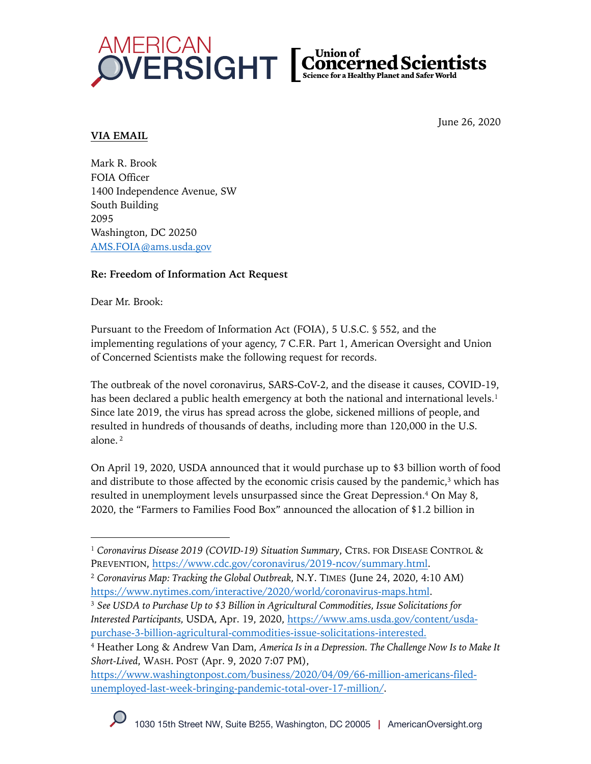

#### June 26, 2020

# **VIA EMAIL**

Mark R. Brook FOIA Officer 1400 Independence Avenue, SW South Building 2095 Washington, DC 20250 AMS.FOIA@ams.usda.gov

# **Re: Freedom of Information Act Request**

Dear Mr. Brook:

Pursuant to the Freedom of Information Act (FOIA), 5 U.S.C. § 552, and the implementing regulations of your agency, 7 C.F.R. Part 1, American Oversight and Union of Concerned Scientists make the following request for records.

The outbreak of the novel coronavirus, SARS-CoV-2, and the disease it causes, COVID-19, has been declared a public health emergency at both the national and international levels.<sup>1</sup> Since late 2019, the virus has spread across the globe, sickened millions of people, and resulted in hundreds of thousands of deaths, including more than 120,000 in the U.S. alone.<sup>2</sup>

On April 19, 2020, USDA announced that it would purchase up to \$3 billion worth of food and distribute to those affected by the economic crisis caused by the pandemic, <sup>3</sup> which has resulted in unemployment levels unsurpassed since the Great Depression.4 On May 8, 2020, the "Farmers to Families Food Box" announced the allocation of \$1.2 billion in

<sup>&</sup>lt;sup>1</sup> Coronavirus Disease 2019 (COVID-19) Situation Summary, CTRS. FOR DISEASE CONTROL & PREVENTION, https://www.cdc.gov/coronavirus/2019-ncov/summary.html.

<sup>2</sup> *Coronavirus Map: Tracking the Global Outbreak,* N.Y. TIMES (June 24, 2020, 4:10 AM) https://www.nytimes.com/interactive/2020/world/coronavirus-maps.html.

<sup>3</sup> *See USDA to Purchase Up to \$3 Billion in Agricultural Commodities, Issue Solicitations for Interested Participants,* USDA*,* Apr. 19, 2020, https://www.ams.usda.gov/content/usdapurchase-3-billion-agricultural-commodities-issue-solicitations-interested.

<sup>4</sup> Heather Long & Andrew Van Dam, *America Is in a Depression. The Challenge Now Is to Make It Short-Lived*, WASH. POST (Apr. 9, 2020 7:07 PM),

https://www.washingtonpost.com/business/2020/04/09/66-million-americans-filedunemployed-last-week-bringing-pandemic-total-over-17-million/.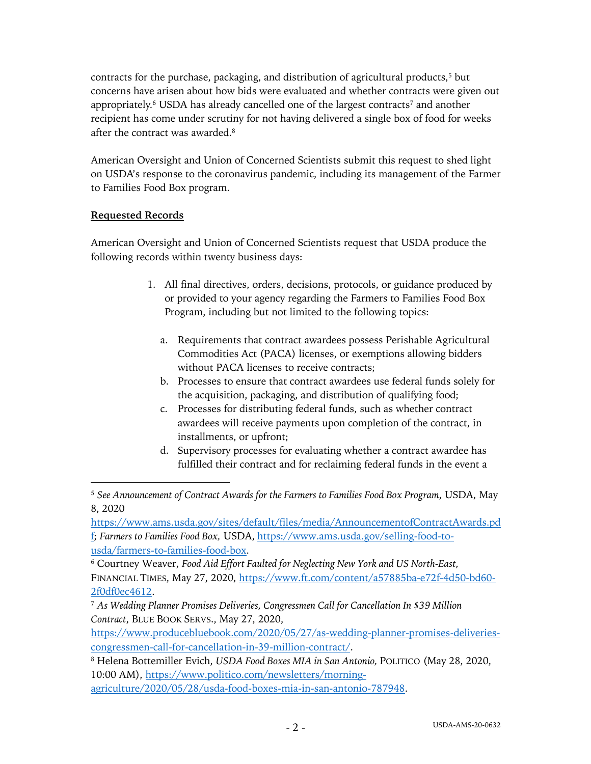contracts for the purchase, packaging, and distribution of agricultural products,5 but concerns have arisen about how bids were evaluated and whether contracts were given out appropriately.<sup>6</sup> USDA has already cancelled one of the largest contracts<sup>7</sup> and another recipient has come under scrutiny for not having delivered a single box of food for weeks after the contract was awarded.8

American Oversight and Union of Concerned Scientists submit this request to shed light on USDA's response to the coronavirus pandemic, including its management of the Farmer to Families Food Box program.

## **Requested Records**

American Oversight and Union of Concerned Scientists request that USDA produce the following records within twenty business days:

- 1. All final directives, orders, decisions, protocols, or guidance produced by or provided to your agency regarding the Farmers to Families Food Box Program, including but not limited to the following topics:
	- a. Requirements that contract awardees possess Perishable Agricultural Commodities Act (PACA) licenses, or exemptions allowing bidders without PACA licenses to receive contracts;
	- b. Processes to ensure that contract awardees use federal funds solely for the acquisition, packaging, and distribution of qualifying food;
	- c. Processes for distributing federal funds, such as whether contract awardees will receive payments upon completion of the contract, in installments, or upfront;
	- d. Supervisory processes for evaluating whether a contract awardee has fulfilled their contract and for reclaiming federal funds in the event a

https://www.producebluebook.com/2020/05/27/as-wedding-planner-promises-deliveriescongressmen-call-for-cancellation-in-39-million-contract/.

<sup>8</sup> Helena Bottemiller Evich, *USDA Food Boxes MIA in San Antonio,* POLITICO (May 28, 2020, 10:00 AM), https://www.politico.com/newsletters/morning-

agriculture/2020/05/28/usda-food-boxes-mia-in-san-antonio-787948.

<sup>5</sup> *See Announcement of Contract Awards for the Farmers to Families Food Box Program*, USDA, May 8, 2020

https://www.ams.usda.gov/sites/default/files/media/AnnouncementofContractAwards.pd f; *Farmers to Families Food Box,* USDA, https://www.ams.usda.gov/selling-food-tousda/farmers-to-families-food-box.

<sup>6</sup> Courtney Weaver, *Food Aid Effort Faulted for Neglecting New York and US North-East,*  FINANCIAL TIMES, May 27, 2020, https://www.ft.com/content/a57885ba-e72f-4d50-bd60- 2f0df0ec4612.

<sup>7</sup> *As Wedding Planner Promises Deliveries, Congressmen Call for Cancellation In \$39 Million Contract*, BLUE BOOK SERVS., May 27, 2020,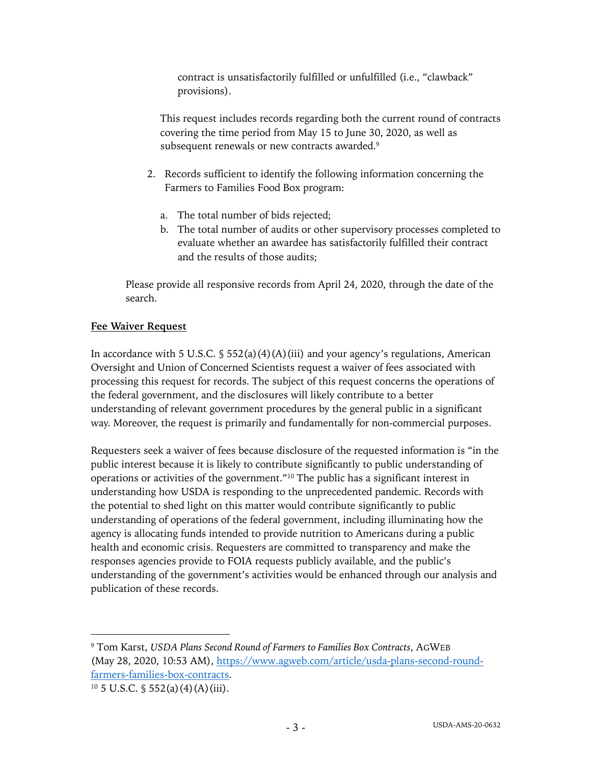contract is unsatisfactorily fulfilled or unfulfilled (i.e., "clawback" provisions).

This request includes records regarding both the current round of contracts covering the time period from May 15 to June 30, 2020, as well as subsequent renewals or new contracts awarded.<sup>9</sup>

- 2. Records sufficient to identify the following information concerning the Farmers to Families Food Box program:
	- a. The total number of bids rejected;
	- b. The total number of audits or other supervisory processes completed to evaluate whether an awardee has satisfactorily fulfilled their contract and the results of those audits;

Please provide all responsive records from April 24, 2020, through the date of the search.

## **Fee Waiver Request**

In accordance with 5 U.S.C.  $\frac{1}{5}$  552(a)(4)(A)(iii) and your agency's regulations, American Oversight and Union of Concerned Scientists request a waiver of fees associated with processing this request for records. The subject of this request concerns the operations of the federal government, and the disclosures will likely contribute to a better understanding of relevant government procedures by the general public in a significant way. Moreover, the request is primarily and fundamentally for non-commercial purposes.

Requesters seek a waiver of fees because disclosure of the requested information is "in the public interest because it is likely to contribute significantly to public understanding of operations or activities of the government."10 The public has a significant interest in understanding how USDA is responding to the unprecedented pandemic. Records with the potential to shed light on this matter would contribute significantly to public understanding of operations of the federal government, including illuminating how the agency is allocating funds intended to provide nutrition to Americans during a public health and economic crisis. Requesters are committed to transparency and make the responses agencies provide to FOIA requests publicly available, and the public's understanding of the government's activities would be enhanced through our analysis and publication of these records.

<sup>9</sup> Tom Karst, *USDA Plans Second Round of Farmers to Families Box Contracts*, AGWEB (May 28, 2020, 10:53 AM), https://www.agweb.com/article/usda-plans-second-roundfarmers-families-box-contracts.

 $10\,5$  U.S.C. § 552(a)(4)(A)(iii).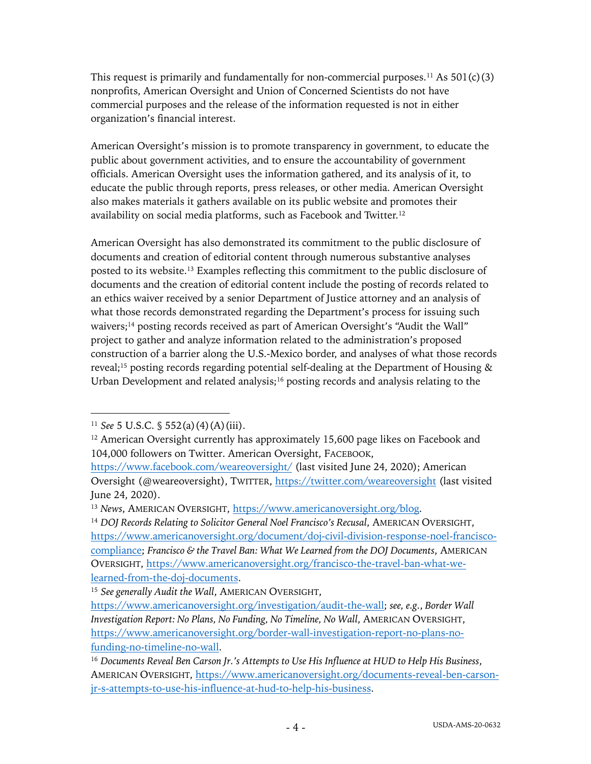This request is primarily and fundamentally for non-commercial purposes.<sup>11</sup> As  $501(c)(3)$ nonprofits, American Oversight and Union of Concerned Scientists do not have commercial purposes and the release of the information requested is not in either organization's financial interest.

American Oversight's mission is to promote transparency in government, to educate the public about government activities, and to ensure the accountability of government officials. American Oversight uses the information gathered, and its analysis of it, to educate the public through reports, press releases, or other media. American Oversight also makes materials it gathers available on its public website and promotes their availability on social media platforms, such as Facebook and Twitter.12

American Oversight has also demonstrated its commitment to the public disclosure of documents and creation of editorial content through numerous substantive analyses posted to its website. <sup>13</sup> Examples reflecting this commitment to the public disclosure of documents and the creation of editorial content include the posting of records related to an ethics waiver received by a senior Department of Justice attorney and an analysis of what those records demonstrated regarding the Department's process for issuing such waivers;<sup>14</sup> posting records received as part of American Oversight's "Audit the Wall" project to gather and analyze information related to the administration's proposed construction of a barrier along the U.S.-Mexico border, and analyses of what those records reveal;15 posting records regarding potential self-dealing at the Department of Housing & Urban Development and related analysis;<sup>16</sup> posting records and analysis relating to the

<sup>11</sup> *See* 5 U.S.C. § 552(a)(4)(A)(iii).

<sup>&</sup>lt;sup>12</sup> American Oversight currently has approximately 15,600 page likes on Facebook and 104,000 followers on Twitter. American Oversight, FACEBOOK,

https://www.facebook.com/weareoversight/ (last visited June 24, 2020); American Oversight (@weareoversight), TWITTER, https://twitter.com/weareoversight (last visited June 24, 2020).

<sup>13</sup> *News*, AMERICAN OVERSIGHT, https://www.americanoversight.org/blog.

<sup>&</sup>lt;sup>14</sup> *DOJ Records Relating to Solicitor General Noel Francisco's Recusal, AMERICAN OVERSIGHT,* https://www.americanoversight.org/document/doj-civil-division-response-noel-franciscocompliance; *Francisco & the Travel Ban: What We Learned from the DOJ Documents*, AMERICAN OVERSIGHT, https://www.americanoversight.org/francisco-the-travel-ban-what-welearned-from-the-doj-documents.

<sup>15</sup> *See generally Audit the Wall*, AMERICAN OVERSIGHT,

https://www.americanoversight.org/investigation/audit-the-wall; *see, e.g.*, *Border Wall Investigation Report: No Plans, No Funding, No Timeline, No Wall*, AMERICAN OVERSIGHT, https://www.americanoversight.org/border-wall-investigation-report-no-plans-nofunding-no-timeline-no-wall.

<sup>16</sup> *Documents Reveal Ben Carson Jr.'s Attempts to Use His Influence at HUD to Help His Business*, AMERICAN OVERSIGHT, https://www.americanoversight.org/documents-reveal-ben-carsonjr-s-attempts-to-use-his-influence-at-hud-to-help-his-business.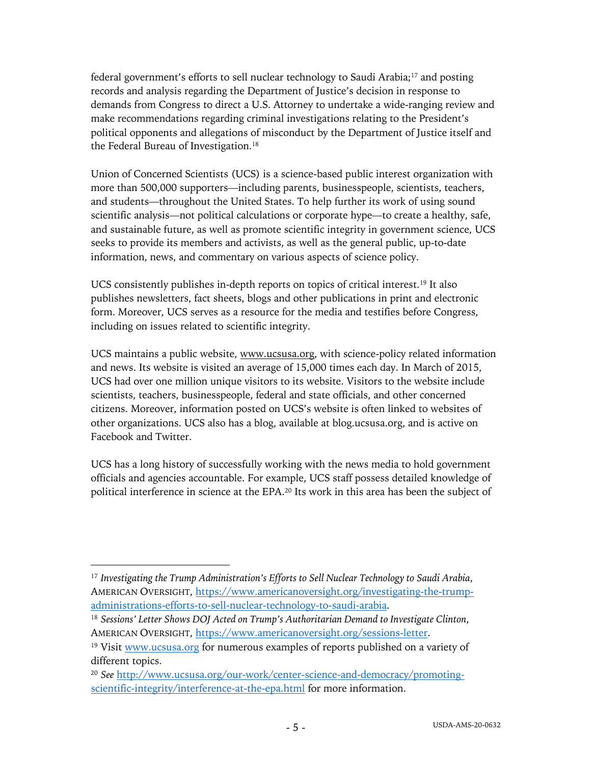federal government's efforts to sell nuclear technology to Saudi Arabia;17 and posting records and analysis regarding the Department of Justice's decision in response to demands from Congress to direct a U.S. Attorney to undertake a wide-ranging review and make recommendations regarding criminal investigations relating to the President's political opponents and allegations of misconduct by the Department of Justice itself and the Federal Bureau of Investigation.<sup>18</sup>

Union of Concerned Scientists (UCS) is a science-based public interest organization with more than 500,000 supporters—including parents, businesspeople, scientists, teachers, and students—throughout the United States. To help further its work of using sound scientific analysis—not political calculations or corporate hype—to create a healthy, safe, and sustainable future, as well as promote scientific integrity in government science, UCS seeks to provide its members and activists, as well as the general public, up-to-date information, news, and commentary on various aspects of science policy.

UCS consistently publishes in-depth reports on topics of critical interest.19 It also publishes newsletters, fact sheets, blogs and other publications in print and electronic form. Moreover, UCS serves as a resource for the media and testifies before Congress, including on issues related to scientific integrity.

UCS maintains a public website, www.ucsusa.org, with science-policy related information and news. Its website is visited an average of 15,000 times each day. In March of 2015, UCS had over one million unique visitors to its website. Visitors to the website include scientists, teachers, businesspeople, federal and state officials, and other concerned citizens. Moreover, information posted on UCS's website is often linked to websites of other organizations. UCS also has a blog, available at blog.ucsusa.org, and is active on Facebook and Twitter.

UCS has a long history of successfully working with the news media to hold government officials and agencies accountable. For example, UCS staff possess detailed knowledge of political interference in science at the EPA.20 Its work in this area has been the subject of

<sup>17</sup> *Investigating the Trump Administration's Efforts to Sell Nuclear Technology to Saudi Arabia*, AMERICAN OVERSIGHT, https://www.americanoversight.org/investigating-the-trumpadministrations-efforts-to-sell-nuclear-technology-to-saudi-arabia.

<sup>18</sup> *Sessions' Letter Shows DOJ Acted on Trump's Authoritarian Demand to Investigate Clinton*, AMERICAN OVERSIGHT, https://www.americanoversight.org/sessions-letter.

<sup>&</sup>lt;sup>19</sup> Visit www.ucsusa.org for numerous examples of reports published on a variety of different topics.

<sup>20</sup> *See* http://www.ucsusa.org/our-work/center-science-and-democracy/promotingscientific-integrity/interference-at-the-epa.html for more information.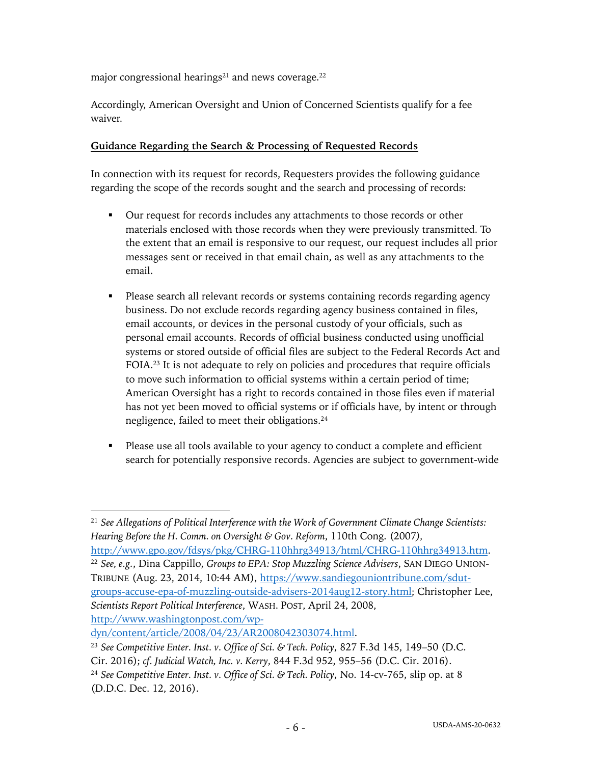major congressional hearings<sup>21</sup> and news coverage.<sup>22</sup>

Accordingly, American Oversight and Union of Concerned Scientists qualify for a fee waiver.

#### **Guidance Regarding the Search & Processing of Requested Records**

In connection with its request for records, Requesters provides the following guidance regarding the scope of the records sought and the search and processing of records:

- § Our request for records includes any attachments to those records or other materials enclosed with those records when they were previously transmitted. To the extent that an email is responsive to our request, our request includes all prior messages sent or received in that email chain, as well as any attachments to the email.
- Please search all relevant records or systems containing records regarding agency business. Do not exclude records regarding agency business contained in files, email accounts, or devices in the personal custody of your officials, such as personal email accounts. Records of official business conducted using unofficial systems or stored outside of official files are subject to the Federal Records Act and FOIA.23 It is not adequate to rely on policies and procedures that require officials to move such information to official systems within a certain period of time; American Oversight has a right to records contained in those files even if material has not yet been moved to official systems or if officials have, by intent or through negligence, failed to meet their obligations.24
- Please use all tools available to your agency to conduct a complete and efficient search for potentially responsive records. Agencies are subject to government-wide

dyn/content/article/2008/04/23/AR2008042303074.html.

<sup>23</sup> *See Competitive Enter. Inst. v. Office of Sci. & Tech. Policy*, 827 F.3d 145, 149–50 (D.C.

<sup>21</sup> *See Allegations of Political Interference with the Work of Government Climate Change Scientists: Hearing Before the H. Comm. on Oversight & Gov. Reform*, 110th Cong. (2007*),* 

http://www.gpo.gov/fdsys/pkg/CHRG-110hhrg34913/html/CHRG-110hhrg34913.htm. <sup>22</sup> *See, e.g.*, Dina Cappillo, *Groups to EPA: Stop Muzzling Science Advisers*, SAN DIEGO UNION-TRIBUNE (Aug. 23, 2014, 10:44 AM), https://www.sandiegouniontribune.com/sdutgroups-accuse-epa-of-muzzling-outside-advisers-2014aug12-story.html; Christopher Lee, *Scientists Report Political Interference*, WASH. POST, April 24, 2008, http://www.washingtonpost.com/wp-

Cir. 2016); *cf. Judicial Watch, Inc. v. Kerry*, 844 F.3d 952, 955–56 (D.C. Cir. 2016).

<sup>24</sup> *See Competitive Enter. Inst. v. Office of Sci. & Tech. Policy*, No. 14-cv-765, slip op. at 8 (D.D.C. Dec. 12, 2016).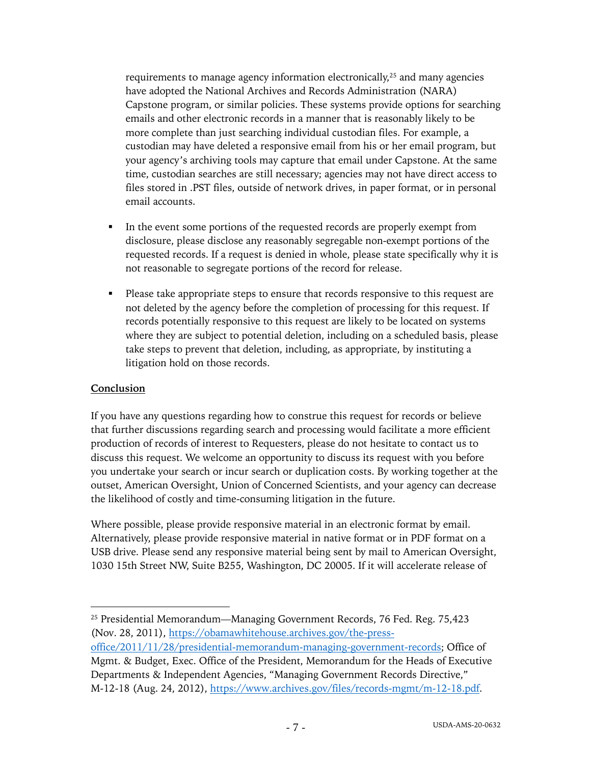requirements to manage agency information electronically,<sup>25</sup> and many agencies have adopted the National Archives and Records Administration (NARA) Capstone program, or similar policies. These systems provide options for searching emails and other electronic records in a manner that is reasonably likely to be more complete than just searching individual custodian files. For example, a custodian may have deleted a responsive email from his or her email program, but your agency's archiving tools may capture that email under Capstone. At the same time, custodian searches are still necessary; agencies may not have direct access to files stored in .PST files, outside of network drives, in paper format, or in personal email accounts.

- In the event some portions of the requested records are properly exempt from disclosure, please disclose any reasonably segregable non-exempt portions of the requested records. If a request is denied in whole, please state specifically why it is not reasonable to segregate portions of the record for release.
- Please take appropriate steps to ensure that records responsive to this request are not deleted by the agency before the completion of processing for this request. If records potentially responsive to this request are likely to be located on systems where they are subject to potential deletion, including on a scheduled basis, please take steps to prevent that deletion, including, as appropriate, by instituting a litigation hold on those records.

#### **Conclusion**

If you have any questions regarding how to construe this request for records or believe that further discussions regarding search and processing would facilitate a more efficient production of records of interest to Requesters, please do not hesitate to contact us to discuss this request. We welcome an opportunity to discuss its request with you before you undertake your search or incur search or duplication costs. By working together at the outset, American Oversight, Union of Concerned Scientists, and your agency can decrease the likelihood of costly and time-consuming litigation in the future.

Where possible, please provide responsive material in an electronic format by email. Alternatively, please provide responsive material in native format or in PDF format on a USB drive. Please send any responsive material being sent by mail to American Oversight, 1030 15th Street NW, Suite B255, Washington, DC 20005. If it will accelerate release of

office/2011/11/28/presidential-memorandum-managing-government-records; Office of Mgmt. & Budget, Exec. Office of the President, Memorandum for the Heads of Executive Departments & Independent Agencies, "Managing Government Records Directive," M-12-18 (Aug. 24, 2012), https://www.archives.gov/files/records-mgmt/m-12-18.pdf.

<sup>25</sup> Presidential Memorandum—Managing Government Records, 76 Fed. Reg. 75,423 (Nov. 28, 2011), https://obamawhitehouse.archives.gov/the-press-